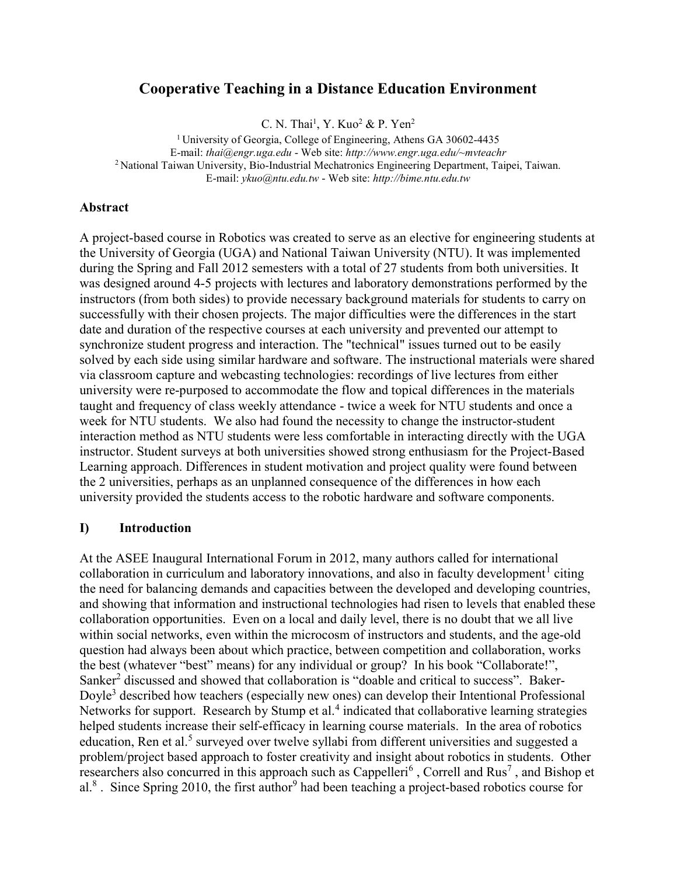# Cooperative Teaching in a Distance Education Environment

C. N. Thai<sup>1</sup>, Y. Kuo<sup>2</sup> & P. Yen<sup>2</sup>

<sup>1</sup> University of Georgia, College of Engineering, Athens GA 30602-4435 E-mail: thai@engr.uga.edu - Web site: http://www.engr.uga.edu/~mvteachr <sup>2</sup> National Taiwan University, Bio-Industrial Mechatronics Engineering Department, Taipei, Taiwan. E-mail: ykuo@ntu.edu.tw - Web site: http://bime.ntu.edu.tw

#### Abstract

A project-based course in Robotics was created to serve as an elective for engineering students at the University of Georgia (UGA) and National Taiwan University (NTU). It was implemented during the Spring and Fall 2012 semesters with a total of 27 students from both universities. It was designed around 4-5 projects with lectures and laboratory demonstrations performed by the instructors (from both sides) to provide necessary background materials for students to carry on successfully with their chosen projects. The major difficulties were the differences in the start date and duration of the respective courses at each university and prevented our attempt to synchronize student progress and interaction. The "technical" issues turned out to be easily solved by each side using similar hardware and software. The instructional materials were shared via classroom capture and webcasting technologies: recordings of live lectures from either university were re-purposed to accommodate the flow and topical differences in the materials taught and frequency of class weekly attendance - twice a week for NTU students and once a week for NTU students. We also had found the necessity to change the instructor-student interaction method as NTU students were less comfortable in interacting directly with the UGA instructor. Student surveys at both universities showed strong enthusiasm for the Project-Based Learning approach. Differences in student motivation and project quality were found between the 2 universities, perhaps as an unplanned consequence of the differences in how each university provided the students access to the robotic hardware and software components.

#### I) Introduction

At the ASEE Inaugural International Forum in 2012, many authors called for international collaboration in curriculum and laboratory innovations, and also in faculty development<sup>1</sup> citing the need for balancing demands and capacities between the developed and developing countries, and showing that information and instructional technologies had risen to levels that enabled these collaboration opportunities. Even on a local and daily level, there is no doubt that we all live within social networks, even within the microcosm of instructors and students, and the age-old question had always been about which practice, between competition and collaboration, works the best (whatever "best" means) for any individual or group? In his book "Collaborate!", Sanker<sup>2</sup> discussed and showed that collaboration is "doable and critical to success". Baker-Doyle<sup>3</sup> described how teachers (especially new ones) can develop their Intentional Professional Networks for support. Research by Stump et al.<sup>4</sup> indicated that collaborative learning strategies helped students increase their self-efficacy in learning course materials. In the area of robotics education, Ren et al.<sup>5</sup> surveyed over twelve syllabi from different universities and suggested a problem/project based approach to foster creativity and insight about robotics in students. Other researchers also concurred in this approach such as Cappelleri<sup>6</sup>, Correll and Rus<sup>7</sup>, and Bishop et al.<sup>8</sup>. Since Spring 2010, the first author<sup>9</sup> had been teaching a project-based robotics course for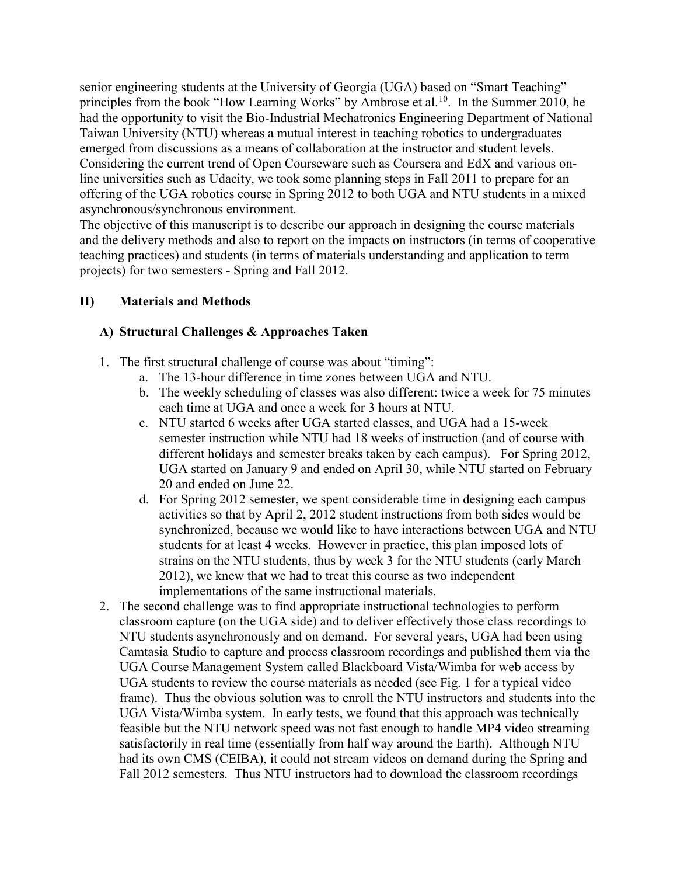senior engineering students at the University of Georgia (UGA) based on "Smart Teaching" principles from the book "How Learning Works" by Ambrose et al.<sup>10</sup>. In the Summer 2010, he had the opportunity to visit the Bio-Industrial Mechatronics Engineering Department of National Taiwan University (NTU) whereas a mutual interest in teaching robotics to undergraduates emerged from discussions as a means of collaboration at the instructor and student levels. Considering the current trend of Open Courseware such as Coursera and EdX and various online universities such as Udacity, we took some planning steps in Fall 2011 to prepare for an offering of the UGA robotics course in Spring 2012 to both UGA and NTU students in a mixed asynchronous/synchronous environment.

The objective of this manuscript is to describe our approach in designing the course materials and the delivery methods and also to report on the impacts on instructors (in terms of cooperative teaching practices) and students (in terms of materials understanding and application to term projects) for two semesters - Spring and Fall 2012.

## II) Materials and Methods

## A) Structural Challenges & Approaches Taken

- 1. The first structural challenge of course was about "timing":
	- a. The 13-hour difference in time zones between UGA and NTU.
	- b. The weekly scheduling of classes was also different: twice a week for 75 minutes each time at UGA and once a week for 3 hours at NTU.
	- c. NTU started 6 weeks after UGA started classes, and UGA had a 15-week semester instruction while NTU had 18 weeks of instruction (and of course with different holidays and semester breaks taken by each campus). For Spring 2012, UGA started on January 9 and ended on April 30, while NTU started on February 20 and ended on June 22.
	- d. For Spring 2012 semester, we spent considerable time in designing each campus activities so that by April 2, 2012 student instructions from both sides would be synchronized, because we would like to have interactions between UGA and NTU students for at least 4 weeks. However in practice, this plan imposed lots of strains on the NTU students, thus by week 3 for the NTU students (early March 2012), we knew that we had to treat this course as two independent implementations of the same instructional materials.
- 2. The second challenge was to find appropriate instructional technologies to perform classroom capture (on the UGA side) and to deliver effectively those class recordings to NTU students asynchronously and on demand. For several years, UGA had been using Camtasia Studio to capture and process classroom recordings and published them via the UGA Course Management System called Blackboard Vista/Wimba for web access by UGA students to review the course materials as needed (see Fig. 1 for a typical video frame). Thus the obvious solution was to enroll the NTU instructors and students into the UGA Vista/Wimba system. In early tests, we found that this approach was technically feasible but the NTU network speed was not fast enough to handle MP4 video streaming satisfactorily in real time (essentially from half way around the Earth). Although NTU had its own CMS (CEIBA), it could not stream videos on demand during the Spring and Fall 2012 semesters. Thus NTU instructors had to download the classroom recordings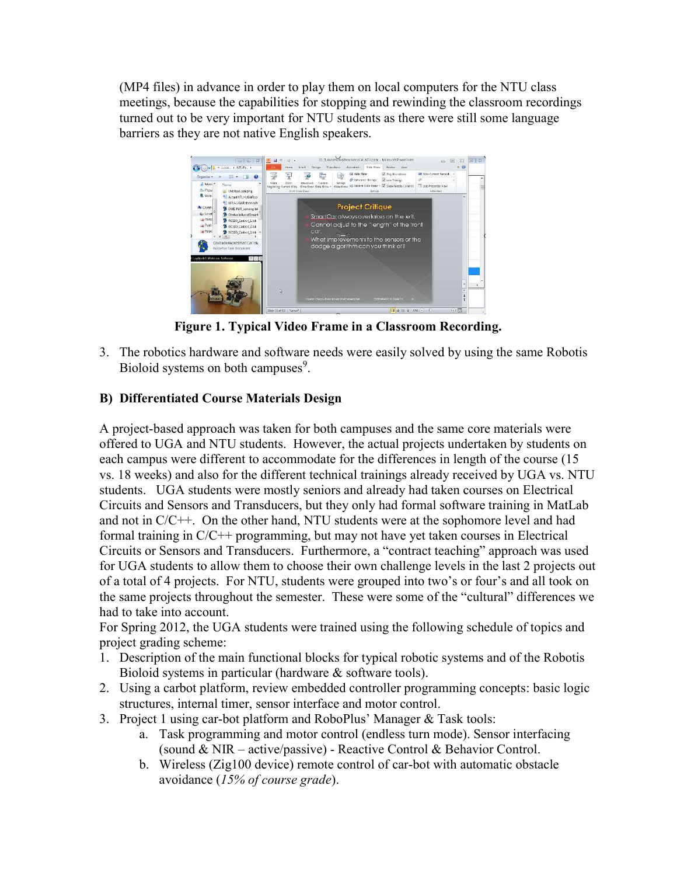(MP4 files) in advance in order to play them on local computers for the NTU class meetings, because the capabilities for stopping and rewinding the classroom recordings turned out to be very important for NTU students as there were still some language barriers as they are not native English speakers.



Figure 1. Typical Video Frame in a Classroom Recording.

3. The robotics hardware and software needs were easily solved by using the same Robotis Bioloid systems on both campuses<sup>9</sup>.

## B) Differentiated Course Materials Design

A project-based approach was taken for both campuses and the same core materials were offered to UGA and NTU students. However, the actual projects undertaken by students on each campus were different to accommodate for the differences in length of the course (15 vs. 18 weeks) and also for the different technical trainings already received by UGA vs. NTU students. UGA students were mostly seniors and already had taken courses on Electrical Circuits and Sensors and Transducers, but they only had formal software training in MatLab and not in C/C++. On the other hand, NTU students were at the sophomore level and had formal training in C/C++ programming, but may not have yet taken courses in Electrical Circuits or Sensors and Transducers. Furthermore, a "contract teaching" approach was used for UGA students to allow them to choose their own challenge levels in the last 2 projects out of a total of 4 projects. For NTU, students were grouped into two's or four's and all took on the same projects throughout the semester. These were some of the "cultural" differences we had to take into account.

For Spring 2012, the UGA students were trained using the following schedule of topics and project grading scheme:

- 1. Description of the main functional blocks for typical robotic systems and of the Robotis Bioloid systems in particular (hardware & software tools).
- 2. Using a carbot platform, review embedded controller programming concepts: basic logic structures, internal timer, sensor interface and motor control.
- 3. Project 1 using car-bot platform and RoboPlus' Manager & Task tools:
	- a. Task programming and motor control (endless turn mode). Sensor interfacing (sound & NIR – active/passive) - Reactive Control & Behavior Control.
	- b. Wireless (Zig100 device) remote control of car-bot with automatic obstacle avoidance (15% of course grade).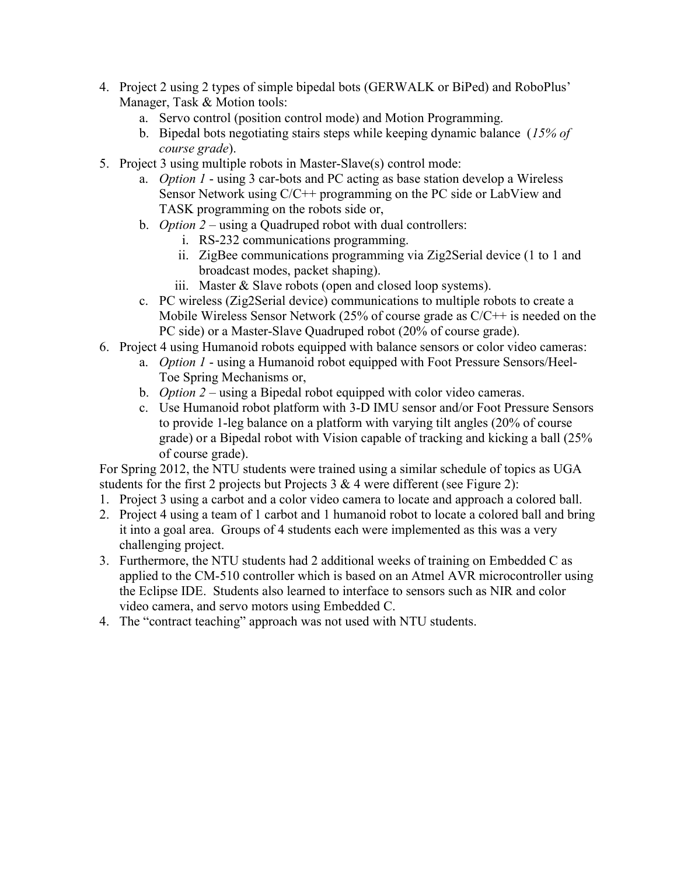- 4. Project 2 using 2 types of simple bipedal bots (GERWALK or BiPed) and RoboPlus' Manager, Task & Motion tools:
	- a. Servo control (position control mode) and Motion Programming.
	- b. Bipedal bots negotiating stairs steps while keeping dynamic balance  $(15\% \text{ of }$ course grade).
- 5. Project 3 using multiple robots in Master-Slave(s) control mode:
	- a. Option 1 using 3 car-bots and PC acting as base station develop a Wireless Sensor Network using C/C++ programming on the PC side or LabView and TASK programming on the robots side or,
	- b. Option  $2$  using a Quadruped robot with dual controllers:
		- i. RS-232 communications programming.
		- ii. ZigBee communications programming via Zig2Serial device (1 to 1 and broadcast modes, packet shaping).
		- iii. Master & Slave robots (open and closed loop systems).
	- c. PC wireless (Zig2Serial device) communications to multiple robots to create a Mobile Wireless Sensor Network (25% of course grade as C/C++ is needed on the PC side) or a Master-Slave Quadruped robot (20% of course grade).
- 6. Project 4 using Humanoid robots equipped with balance sensors or color video cameras:
	- a. *Option 1* using a Humanoid robot equipped with Foot Pressure Sensors/Heel-Toe Spring Mechanisms or,
	- b. *Option 2* using a Bipedal robot equipped with color video cameras.
	- c. Use Humanoid robot platform with 3-D IMU sensor and/or Foot Pressure Sensors to provide 1-leg balance on a platform with varying tilt angles (20% of course grade) or a Bipedal robot with Vision capable of tracking and kicking a ball (25% of course grade).

For Spring 2012, the NTU students were trained using a similar schedule of topics as UGA students for the first 2 projects but Projects  $3 & 4$  were different (see Figure 2):

- 1. Project 3 using a carbot and a color video camera to locate and approach a colored ball.
- 2. Project 4 using a team of 1 carbot and 1 humanoid robot to locate a colored ball and bring it into a goal area. Groups of 4 students each were implemented as this was a very challenging project.
- 3. Furthermore, the NTU students had 2 additional weeks of training on Embedded C as applied to the CM-510 controller which is based on an Atmel AVR microcontroller using the Eclipse IDE. Students also learned to interface to sensors such as NIR and color video camera, and servo motors using Embedded C.
- 4. The "contract teaching" approach was not used with NTU students.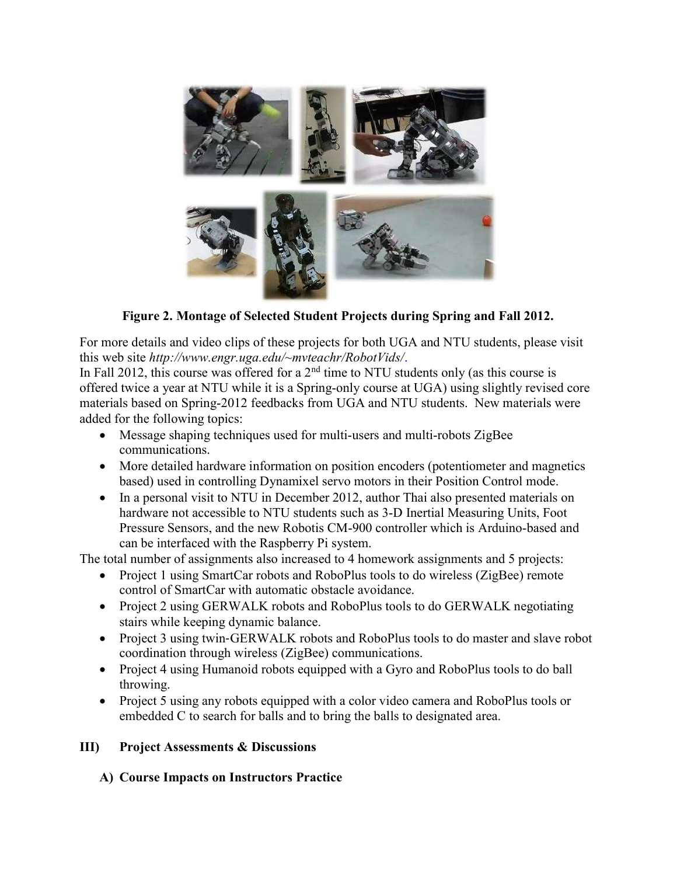

Figure 2. Montage of Selected Student Projects during Spring and Fall 2012.

For more details and video clips of these projects for both UGA and NTU students, please visit this web site http://www.engr.uga.edu/~mvteachr/RobotVids/.

In Fall 2012, this course was offered for a  $2<sup>nd</sup>$  time to NTU students only (as this course is offered twice a year at NTU while it is a Spring-only course at UGA) using slightly revised core materials based on Spring-2012 feedbacks from UGA and NTU students. New materials were added for the following topics:

- Message shaping techniques used for multi-users and multi-robots ZigBee communications.
- More detailed hardware information on position encoders (potentiometer and magnetics based) used in controlling Dynamixel servo motors in their Position Control mode.
- In a personal visit to NTU in December 2012, author Thai also presented materials on hardware not accessible to NTU students such as 3-D Inertial Measuring Units, Foot Pressure Sensors, and the new Robotis CM-900 controller which is Arduino-based and can be interfaced with the Raspberry Pi system.

The total number of assignments also increased to 4 homework assignments and 5 projects:

- Project 1 using SmartCar robots and RoboPlus tools to do wireless (ZigBee) remote control of SmartCar with automatic obstacle avoidance.
- Project 2 using GERWALK robots and RoboPlus tools to do GERWALK negotiating stairs while keeping dynamic balance.
- Project 3 using twin-GERWALK robots and RoboPlus tools to do master and slave robot coordination through wireless (ZigBee) communications.
- Project 4 using Humanoid robots equipped with a Gyro and RoboPlus tools to do ball throwing.
- Project 5 using any robots equipped with a color video camera and RoboPlus tools or embedded C to search for balls and to bring the balls to designated area.

# III) Project Assessments & Discussions

# A) Course Impacts on Instructors Practice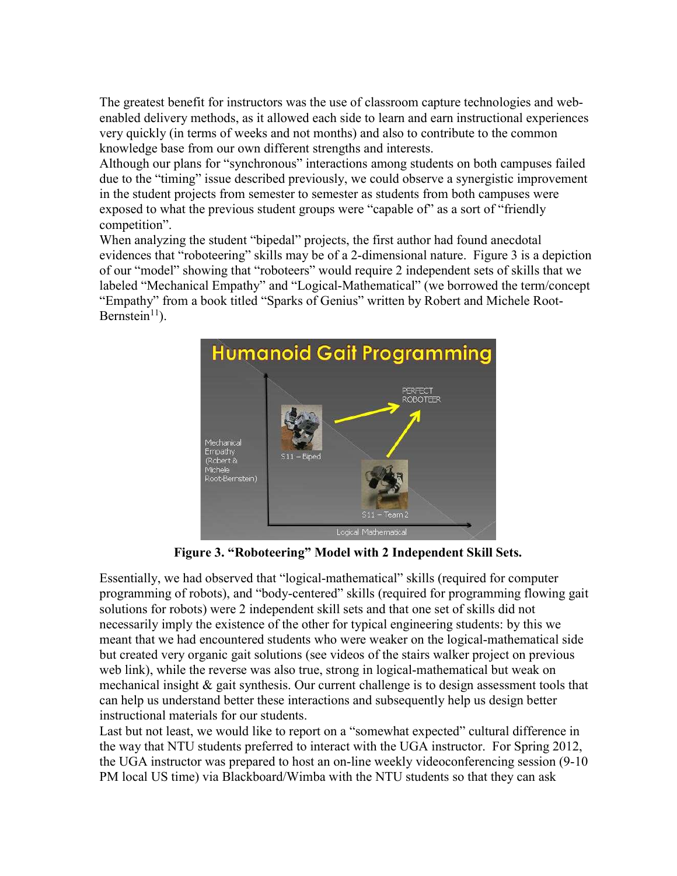The greatest benefit for instructors was the use of classroom capture technologies and webenabled delivery methods, as it allowed each side to learn and earn instructional experiences very quickly (in terms of weeks and not months) and also to contribute to the common knowledge base from our own different strengths and interests.

Although our plans for "synchronous" interactions among students on both campuses failed due to the "timing" issue described previously, we could observe a synergistic improvement in the student projects from semester to semester as students from both campuses were exposed to what the previous student groups were "capable of" as a sort of "friendly" competition".

When analyzing the student "bipedal" projects, the first author had found anecdotal evidences that "roboteering" skills may be of a 2-dimensional nature. Figure 3 is a depiction of our "model" showing that "roboteers" would require 2 independent sets of skills that we labeled "Mechanical Empathy" and "Logical-Mathematical" (we borrowed the term/concept "Empathy" from a book titled "Sparks of Genius" written by Robert and Michele Root-Bernstein $11$ .



Figure 3. "Roboteering" Model with 2 Independent Skill Sets.

Essentially, we had observed that "logical-mathematical" skills (required for computer programming of robots), and "body-centered" skills (required for programming flowing gait solutions for robots) were 2 independent skill sets and that one set of skills did not necessarily imply the existence of the other for typical engineering students: by this we meant that we had encountered students who were weaker on the logical-mathematical side but created very organic gait solutions (see videos of the stairs walker project on previous web link), while the reverse was also true, strong in logical-mathematical but weak on mechanical insight & gait synthesis. Our current challenge is to design assessment tools that can help us understand better these interactions and subsequently help us design better instructional materials for our students.

Last but not least, we would like to report on a "somewhat expected" cultural difference in the way that NTU students preferred to interact with the UGA instructor. For Spring 2012, the UGA instructor was prepared to host an on-line weekly videoconferencing session (9-10 PM local US time) via Blackboard/Wimba with the NTU students so that they can ask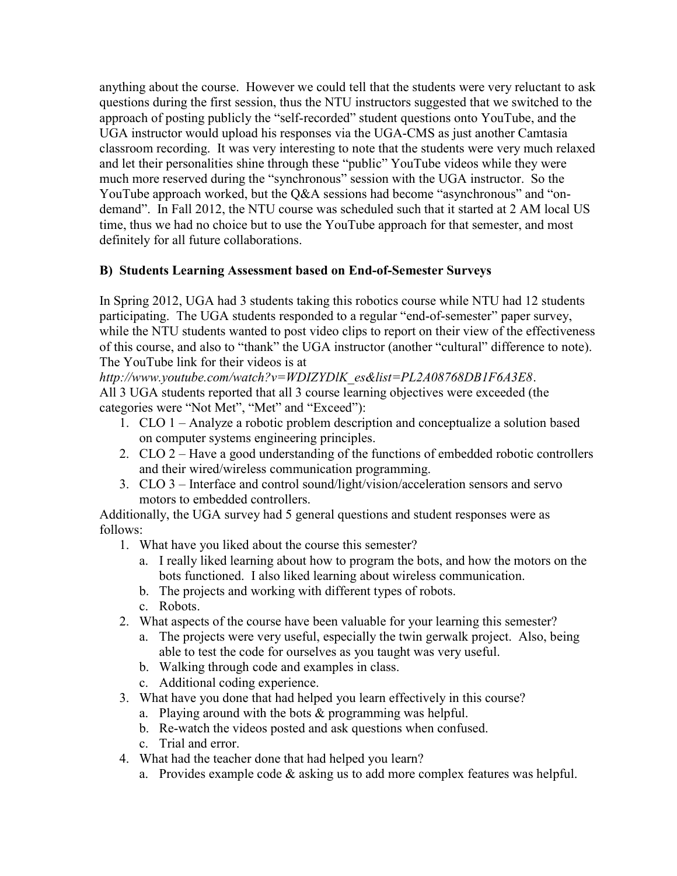anything about the course. However we could tell that the students were very reluctant to ask questions during the first session, thus the NTU instructors suggested that we switched to the approach of posting publicly the "self-recorded" student questions onto YouTube, and the UGA instructor would upload his responses via the UGA-CMS as just another Camtasia classroom recording. It was very interesting to note that the students were very much relaxed and let their personalities shine through these "public" YouTube videos while they were much more reserved during the "synchronous" session with the UGA instructor. So the YouTube approach worked, but the Q&A sessions had become "asynchronous" and "ondemand". In Fall 2012, the NTU course was scheduled such that it started at 2 AM local US time, thus we had no choice but to use the YouTube approach for that semester, and most definitely for all future collaborations.

## B) Students Learning Assessment based on End-of-Semester Surveys

In Spring 2012, UGA had 3 students taking this robotics course while NTU had 12 students participating. The UGA students responded to a regular "end-of-semester" paper survey, while the NTU students wanted to post video clips to report on their view of the effectiveness of this course, and also to "thank" the UGA instructor (another "cultural" difference to note). The YouTube link for their videos is at

http://www.youtube.com/watch?v=WDIZYDlK\_es&list=PL2A08768DB1F6A3E8. All 3 UGA students reported that all 3 course learning objectives were exceeded (the categories were "Not Met", "Met" and "Exceed"):

- 1. CLO 1 Analyze a robotic problem description and conceptualize a solution based on computer systems engineering principles.
- 2. CLO 2 Have a good understanding of the functions of embedded robotic controllers and their wired/wireless communication programming.
- 3. CLO 3 Interface and control sound/light/vision/acceleration sensors and servo motors to embedded controllers.

Additionally, the UGA survey had 5 general questions and student responses were as follows:

- 1. What have you liked about the course this semester?
	- a. I really liked learning about how to program the bots, and how the motors on the bots functioned. I also liked learning about wireless communication.
	- b. The projects and working with different types of robots.
	- c. Robots.
- 2. What aspects of the course have been valuable for your learning this semester?
	- a. The projects were very useful, especially the twin gerwalk project. Also, being able to test the code for ourselves as you taught was very useful.
	- b. Walking through code and examples in class.
	- c. Additional coding experience.
- 3. What have you done that had helped you learn effectively in this course?
	- a. Playing around with the bots  $&$  programming was helpful.
	- b. Re-watch the videos posted and ask questions when confused.
	- c. Trial and error.
- 4. What had the teacher done that had helped you learn?
	- a. Provides example code & asking us to add more complex features was helpful.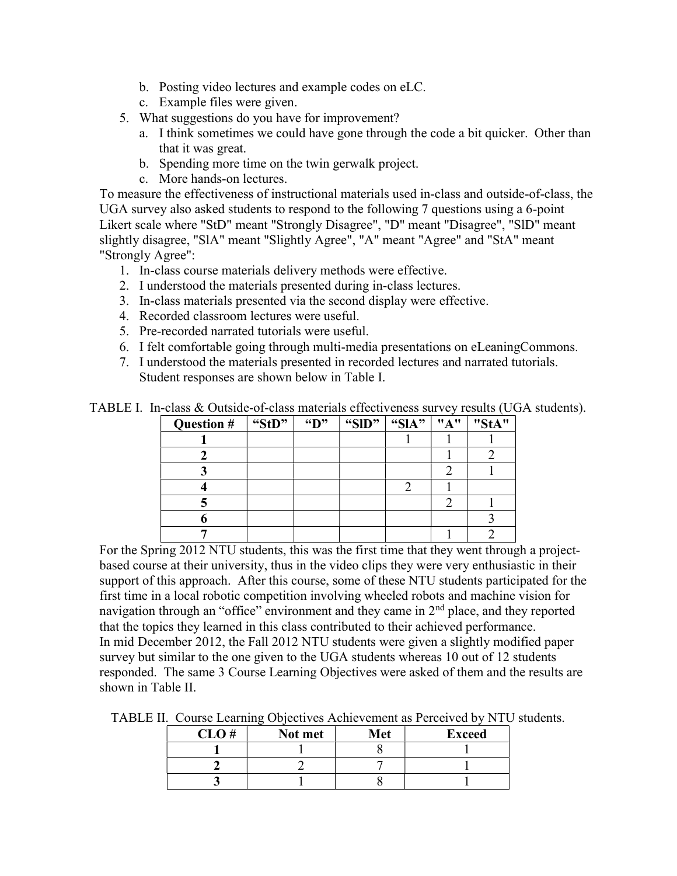- b. Posting video lectures and example codes on eLC.
- c. Example files were given.
- 5. What suggestions do you have for improvement?
	- a. I think sometimes we could have gone through the code a bit quicker. Other than that it was great.
	- b. Spending more time on the twin gerwalk project.
	- c. More hands-on lectures.

To measure the effectiveness of instructional materials used in-class and outside-of-class, the UGA survey also asked students to respond to the following 7 questions using a 6-point Likert scale where "StD" meant "Strongly Disagree", "D" meant "Disagree", "SlD" meant slightly disagree, "SlA" meant "Slightly Agree", "A" meant "Agree" and "StA" meant "Strongly Agree":

- 1. In-class course materials delivery methods were effective.
- 2. I understood the materials presented during in-class lectures.
- 3. In-class materials presented via the second display were effective.
- 4. Recorded classroom lectures were useful.
- 5. Pre-recorded narrated tutorials were useful.
- 6. I felt comfortable going through multi-media presentations on eLeaningCommons.
- 7. I understood the materials presented in recorded lectures and narrated tutorials. Student responses are shown below in Table I.

| TABLE I. In-class & Outside-of-class materials effectiveness survey results (UGA students). |  |
|---------------------------------------------------------------------------------------------|--|
|---------------------------------------------------------------------------------------------|--|

| Question # | "StD" | $\mathbf{H}$ | "SID" | "SIA" | "A" | "StA" |
|------------|-------|--------------|-------|-------|-----|-------|
|            |       |              |       |       |     |       |
|            |       |              |       |       |     |       |
|            |       |              |       |       |     |       |
|            |       |              |       |       |     |       |
|            |       |              |       |       |     |       |
|            |       |              |       |       |     |       |
|            |       |              |       |       |     |       |

For the Spring 2012 NTU students, this was the first time that they went through a projectbased course at their university, thus in the video clips they were very enthusiastic in their support of this approach. After this course, some of these NTU students participated for the first time in a local robotic competition involving wheeled robots and machine vision for navigation through an "office" environment and they came in  $2<sup>nd</sup>$  place, and they reported that the topics they learned in this class contributed to their achieved performance. In mid December 2012, the Fall 2012 NTU students were given a slightly modified paper survey but similar to the one given to the UGA students whereas 10 out of 12 students responded. The same 3 Course Learning Objectives were asked of them and the results are shown in Table II.

TABLE II. Course Learning Objectives Achievement as Perceived by NTU students.

| CLO# | Not met | Met | <b>Exceed</b> |
|------|---------|-----|---------------|
|      |         |     |               |
|      |         |     |               |
|      |         |     |               |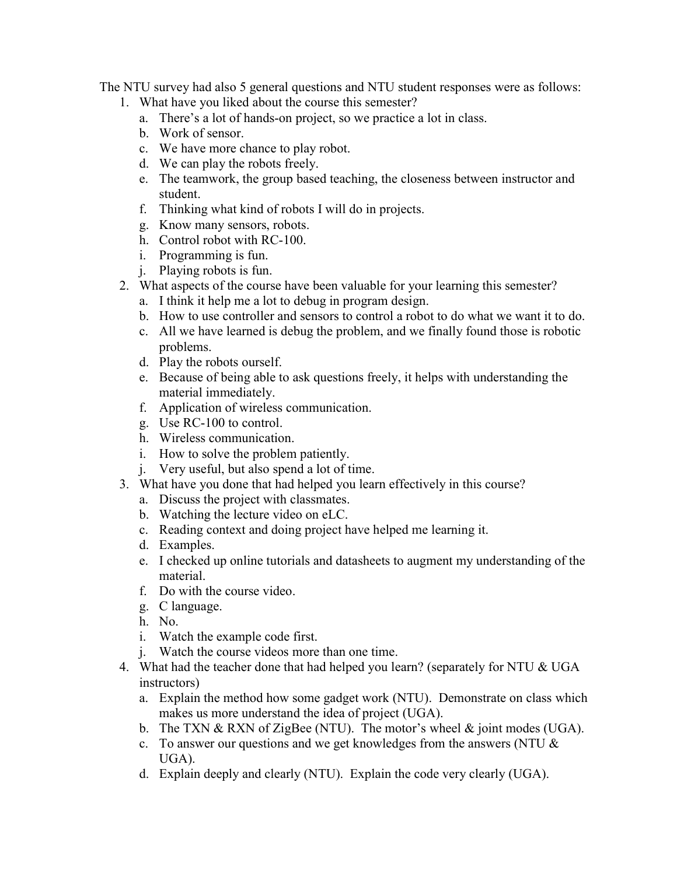The NTU survey had also 5 general questions and NTU student responses were as follows:

- 1. What have you liked about the course this semester?
	- a. There's a lot of hands-on project, so we practice a lot in class.
	- b. Work of sensor.
	- c. We have more chance to play robot.
	- d. We can play the robots freely.
	- e. The teamwork, the group based teaching, the closeness between instructor and student.
	- f. Thinking what kind of robots I will do in projects.
	- g. Know many sensors, robots.
	- h. Control robot with RC-100.
	- i. Programming is fun.
	- j. Playing robots is fun.
- 2. What aspects of the course have been valuable for your learning this semester?
	- a. I think it help me a lot to debug in program design.
	- b. How to use controller and sensors to control a robot to do what we want it to do.
	- c. All we have learned is debug the problem, and we finally found those is robotic problems.
	- d. Play the robots ourself.
	- e. Because of being able to ask questions freely, it helps with understanding the material immediately.
	- f. Application of wireless communication.
	- g. Use RC-100 to control.
	- h. Wireless communication.
	- i. How to solve the problem patiently.
	- j. Very useful, but also spend a lot of time.
- 3. What have you done that had helped you learn effectively in this course?
	- a. Discuss the project with classmates.
	- b. Watching the lecture video on eLC.
	- c. Reading context and doing project have helped me learning it.
	- d. Examples.
	- e. I checked up online tutorials and datasheets to augment my understanding of the material.
	- f. Do with the course video.
	- g. C language.
	- h. No.
	- i. Watch the example code first.
	- j. Watch the course videos more than one time.
- 4. What had the teacher done that had helped you learn? (separately for NTU & UGA instructors)
	- a. Explain the method how some gadget work (NTU). Demonstrate on class which makes us more understand the idea of project (UGA).
	- b. The TXN & RXN of ZigBee (NTU). The motor's wheel  $\&$  joint modes (UGA).
	- c. To answer our questions and we get knowledges from the answers (NTU  $\&$ UGA).
	- d. Explain deeply and clearly (NTU). Explain the code very clearly (UGA).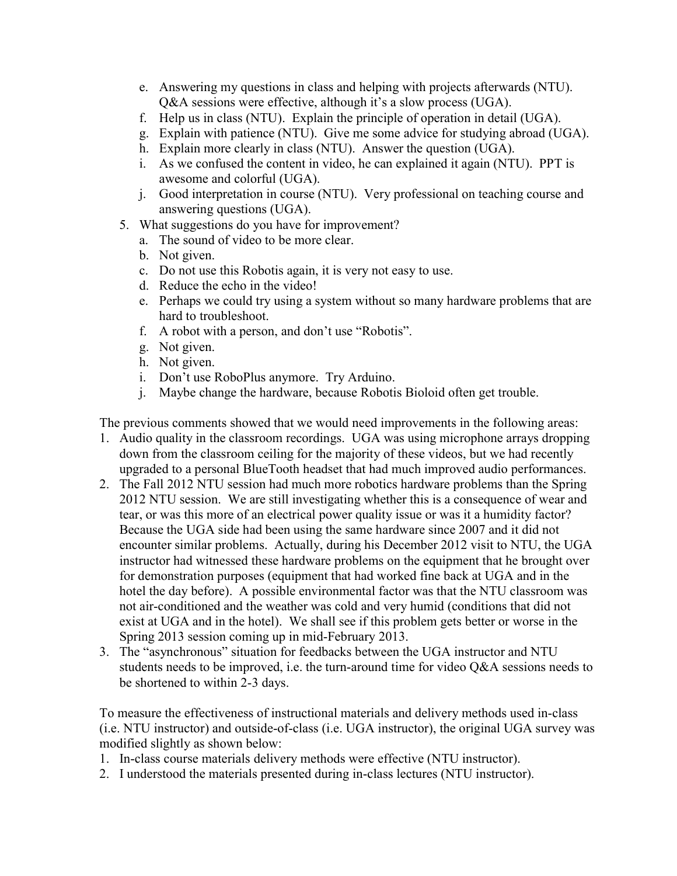- e. Answering my questions in class and helping with projects afterwards (NTU). Q&A sessions were effective, although it's a slow process (UGA).
- f. Help us in class (NTU). Explain the principle of operation in detail (UGA).
- g. Explain with patience (NTU). Give me some advice for studying abroad (UGA).
- h. Explain more clearly in class (NTU). Answer the question (UGA).
- i. As we confused the content in video, he can explained it again (NTU). PPT is awesome and colorful (UGA).
- j. Good interpretation in course (NTU). Very professional on teaching course and answering questions (UGA).
- 5. What suggestions do you have for improvement?
	- a. The sound of video to be more clear.
	- b. Not given.
	- c. Do not use this Robotis again, it is very not easy to use.
	- d. Reduce the echo in the video!
	- e. Perhaps we could try using a system without so many hardware problems that are hard to troubleshoot.
	- f. A robot with a person, and don't use "Robotis".
	- g. Not given.
	- h. Not given.
	- i. Don't use RoboPlus anymore. Try Arduino.
	- j. Maybe change the hardware, because Robotis Bioloid often get trouble.

The previous comments showed that we would need improvements in the following areas:

- 1. Audio quality in the classroom recordings. UGA was using microphone arrays dropping down from the classroom ceiling for the majority of these videos, but we had recently upgraded to a personal BlueTooth headset that had much improved audio performances.
- 2. The Fall 2012 NTU session had much more robotics hardware problems than the Spring 2012 NTU session. We are still investigating whether this is a consequence of wear and tear, or was this more of an electrical power quality issue or was it a humidity factor? Because the UGA side had been using the same hardware since 2007 and it did not encounter similar problems. Actually, during his December 2012 visit to NTU, the UGA instructor had witnessed these hardware problems on the equipment that he brought over for demonstration purposes (equipment that had worked fine back at UGA and in the hotel the day before). A possible environmental factor was that the NTU classroom was not air-conditioned and the weather was cold and very humid (conditions that did not exist at UGA and in the hotel). We shall see if this problem gets better or worse in the Spring 2013 session coming up in mid-February 2013.
- 3. The "asynchronous" situation for feedbacks between the UGA instructor and NTU students needs to be improved, i.e. the turn-around time for video Q&A sessions needs to be shortened to within 2-3 days.

To measure the effectiveness of instructional materials and delivery methods used in-class (i.e. NTU instructor) and outside-of-class (i.e. UGA instructor), the original UGA survey was modified slightly as shown below:

- 1. In-class course materials delivery methods were effective (NTU instructor).
- 2. I understood the materials presented during in-class lectures (NTU instructor).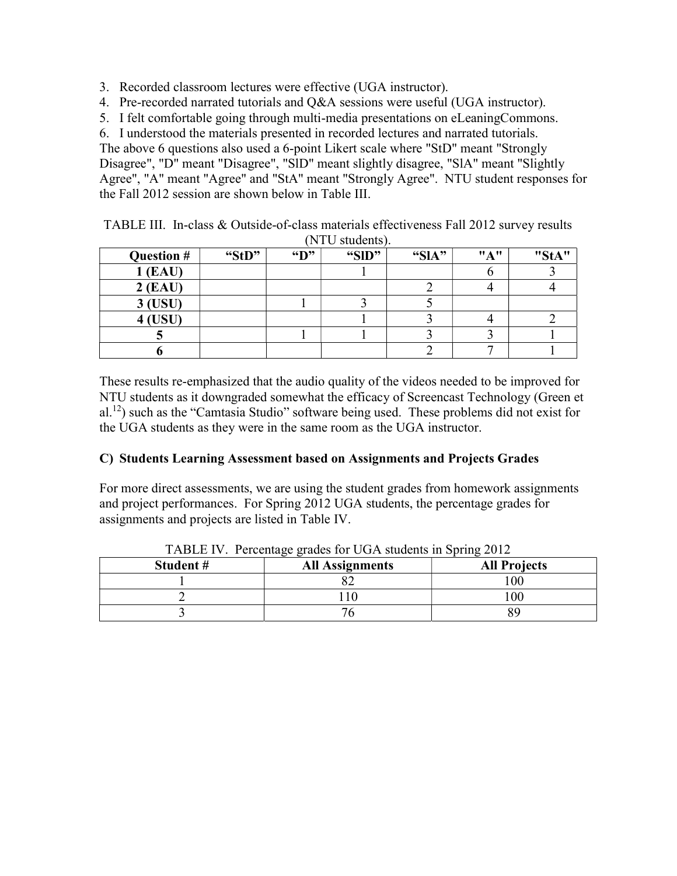- 3. Recorded classroom lectures were effective (UGA instructor).
- 4. Pre-recorded narrated tutorials and Q&A sessions were useful (UGA instructor).
- 5. I felt comfortable going through multi-media presentations on eLeaningCommons.

6. I understood the materials presented in recorded lectures and narrated tutorials.

The above 6 questions also used a 6-point Likert scale where "StD" meant "Strongly Disagree", "D" meant "Disagree", "SlD" meant slightly disagree, "SlA" meant "Slightly Agree", "A" meant "Agree" and "StA" meant "Strongly Agree". NTU student responses for the Fall 2012 session are shown below in Table III.

|                |       |                          | $1110$ buttons $\mu$ |       |     |              |
|----------------|-------|--------------------------|----------------------|-------|-----|--------------|
| Question #     | "StD" | $\mathbf{G}(\mathbf{D})$ | "SID"                | "SlA" | "A" | <b>HC+AH</b> |
| (EAU)          |       |                          |                      |       |     |              |
| $2$ (EAU)      |       |                          |                      |       |     |              |
| 3 (USU)        |       |                          |                      |       |     |              |
| <b>4 (USU)</b> |       |                          |                      |       |     |              |
|                |       |                          |                      |       |     |              |
|                |       |                          |                      |       |     |              |

TABLE III. In-class & Outside-of-class materials effectiveness Fall 2012 survey results (NTU students).

These results re-emphasized that the audio quality of the videos needed to be improved for NTU students as it downgraded somewhat the efficacy of Screencast Technology (Green et al.<sup>12</sup>) such as the "Camtasia Studio" software being used. These problems did not exist for the UGA students as they were in the same room as the UGA instructor.

## C) Students Learning Assessment based on Assignments and Projects Grades

For more direct assessments, we are using the student grades from homework assignments and project performances. For Spring 2012 UGA students, the percentage grades for assignments and projects are listed in Table IV.

| Student # | 00<br><b>All Assignments</b> | <b>All Projects</b> |
|-----------|------------------------------|---------------------|
|           |                              | 100                 |
|           |                              | $\overline{00}$     |
|           |                              |                     |

TABLE IV. Percentage grades for UGA students in Spring 2012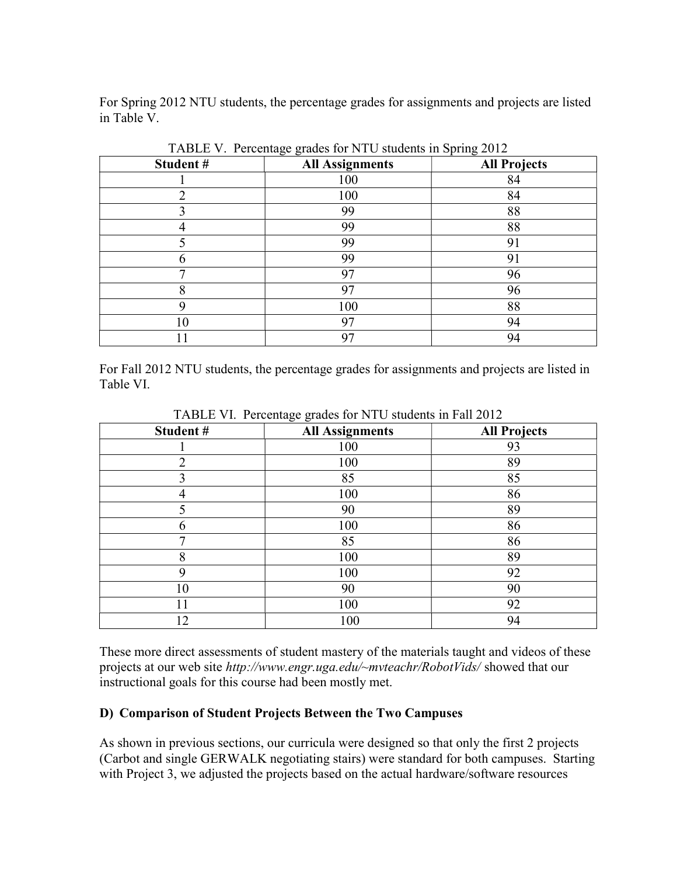For Spring 2012 NTU students, the percentage grades for assignments and projects are listed in Table V.

| Student# | <b>All Assignments</b> | <b>All Projects</b> |
|----------|------------------------|---------------------|
|          | 100                    | 84                  |
| ◠        | 100                    | 84                  |
|          | 99                     | 88                  |
|          | 99                     | 88                  |
|          | 99                     | 91                  |
| h        | 99                     | 91                  |
| ┑        | 97                     | 96                  |
| o        | 97                     | 96                  |
| Q        | 100                    | 88                  |
| 10       | 97                     | 94                  |
|          | 97                     | 94                  |

TABLE V. Percentage grades for NTU students in Spring 2012

For Fall 2012 NTU students, the percentage grades for assignments and projects are listed in Table VI.

| Student# | $\circ$<br>$\circ$<br>All Assignments | <b>All Projects</b> |
|----------|---------------------------------------|---------------------|
|          | 100                                   | 93                  |
| ◠        | 100                                   | 89                  |
| 3        | 85                                    | 85                  |
|          | 100                                   | 86                  |
| 5        | 90                                    | 89                  |
| 6        | 100                                   | 86                  |
| ⇁        | 85                                    | 86                  |
| 8        | 100                                   | 89                  |
| 9        | 100                                   | 92                  |
| 10       | 90                                    | 90                  |
| 11       | 100                                   | 92                  |
| $12 \,$  | 100                                   | 94                  |

TABLE VI. Percentage grades for NTU students in Fall 2012

These more direct assessments of student mastery of the materials taught and videos of these projects at our web site http://www.engr.uga.edu/~mvteachr/RobotVids/ showed that our instructional goals for this course had been mostly met.

### D) Comparison of Student Projects Between the Two Campuses

As shown in previous sections, our curricula were designed so that only the first 2 projects (Carbot and single GERWALK negotiating stairs) were standard for both campuses. Starting with Project 3, we adjusted the projects based on the actual hardware/software resources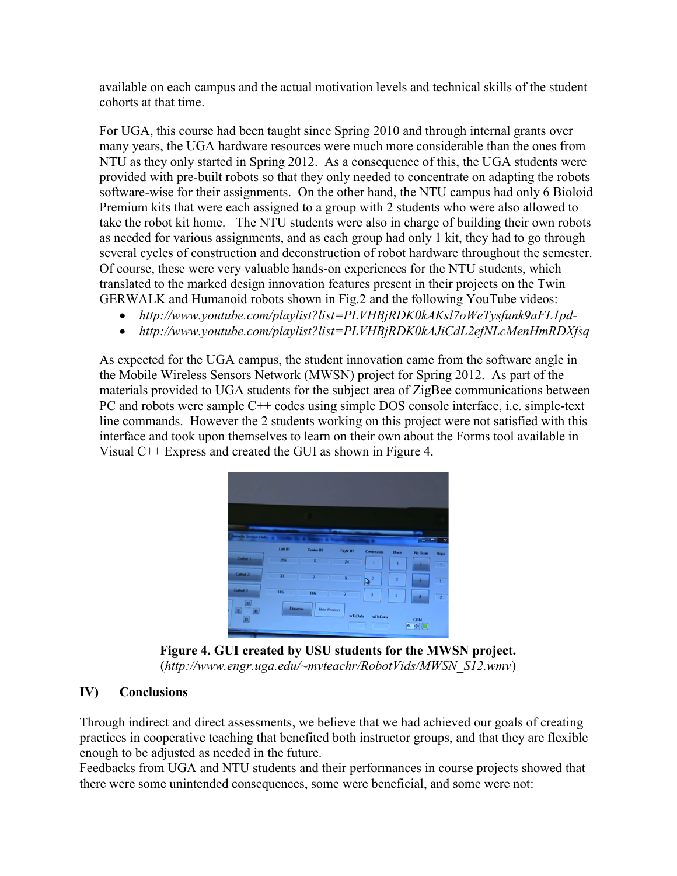available on each campus and the actual motivation levels and technical skills of the student cohorts at that time.

For UGA, this course had been taught since Spring 2010 and through internal grants over many years, the UGA hardware resources were much more considerable than the ones from NTU as they only started in Spring 2012. As a consequence of this, the UGA students were provided with pre-built robots so that they only needed to concentrate on adapting the robots software-wise for their assignments. On the other hand, the NTU campus had only 6 Bioloid Premium kits that were each assigned to a group with 2 students who were also allowed to take the robot kit home. The NTU students were also in charge of building their own robots as needed for various assignments, and as each group had only 1 kit, they had to go through several cycles of construction and deconstruction of robot hardware throughout the semester. Of course, these were very valuable hands-on experiences for the NTU students, which translated to the marked design innovation features present in their projects on the Twin GERWALK and Humanoid robots shown in Fig.2 and the following YouTube videos:

- http://www.youtube.com/playlist?list=PLVHBjRDK0kAKsl7oWeTysfunk9aFL1pd-
- http://www.youtube.com/playlist?list=PLVHBjRDK0kAJiCdL2efNLcMenHmRDXfsq

As expected for the UGA campus, the student innovation came from the software angle in the Mobile Wireless Sensors Network (MWSN) project for Spring 2012. As part of the materials provided to UGA students for the subject area of ZigBee communications between PC and robots were sample C++ codes using simple DOS console interface, i.e. simple-text line commands. However the 2 students working on this project were not satisfied with this interface and took upon themselves to learn on their own about the Forms tool available in Visual C++ Express and created the GUI as shown in Figure 4.



Figure 4. GUI created by USU students for the MWSN project. (http://www.engr.uga.edu/~mvteachr/RobotVids/MWSN\_S12.wmv)

## IV) Conclusions

Through indirect and direct assessments, we believe that we had achieved our goals of creating practices in cooperative teaching that benefited both instructor groups, and that they are flexible enough to be adjusted as needed in the future.

Feedbacks from UGA and NTU students and their performances in course projects showed that there were some unintended consequences, some were beneficial, and some were not: